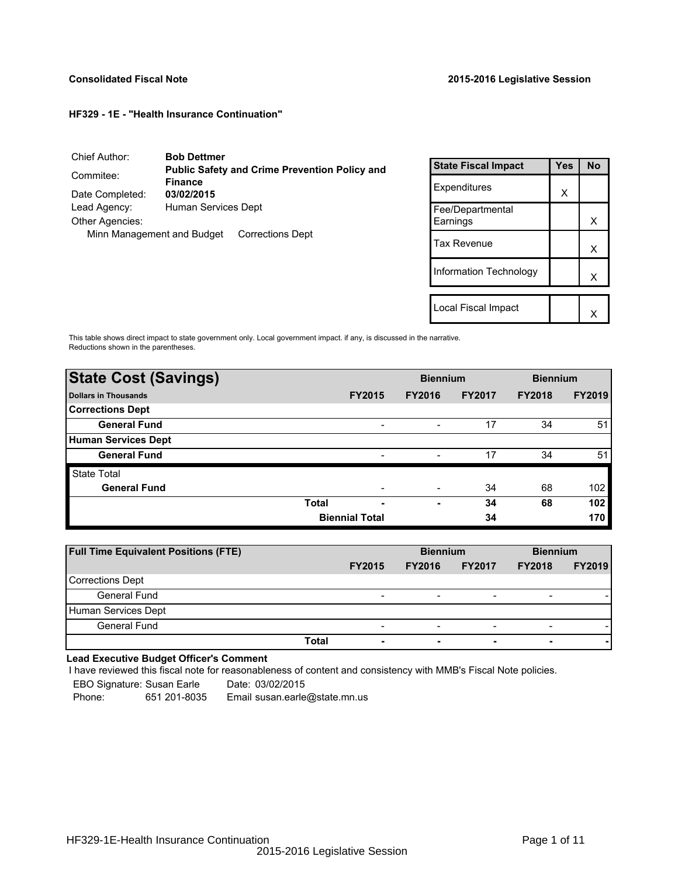Local Fiscal Impact  $\begin{array}{|c|c|c|}\n\hline\n\downarrow & \times\n\end{array}$ 

## **HF329 - 1E - "Health Insurance Continuation"**

| Chief Author:          | <b>Bob Dettmer</b>                                    |                            |     |    |
|------------------------|-------------------------------------------------------|----------------------------|-----|----|
|                        | <b>Public Safety and Crime Prevention Policy and</b>  | <b>State Fiscal Impact</b> | Yes | No |
| Commitee:              | <b>Finance</b>                                        | Expenditures               |     |    |
| Date Completed:        | 03/02/2015                                            |                            | x   |    |
| Lead Agency:           | Human Services Dept                                   | Fee/Departmental           |     |    |
| <b>Other Agencies:</b> |                                                       | Earnings                   |     | х  |
|                        | Minn Management and Budget<br><b>Corrections Dept</b> | <b>Tax Revenue</b>         |     | X  |
|                        |                                                       | Information Technology     |     |    |

This table shows direct impact to state government only. Local government impact. if any, is discussed in the narrative. Reductions shown in the parentheses.

| <b>State Cost (Savings)</b> |              | <b>Biennium</b>          |                              | <b>Biennium</b> |               |               |
|-----------------------------|--------------|--------------------------|------------------------------|-----------------|---------------|---------------|
| Dollars in Thousands        |              | <b>FY2015</b>            | <b>FY2016</b>                | <b>FY2017</b>   | <b>FY2018</b> | <b>FY2019</b> |
| <b>Corrections Dept</b>     |              |                          |                              |                 |               |               |
| <b>General Fund</b>         |              | $\overline{\phantom{a}}$ | $\overline{\phantom{a}}$     | 17              | 34            | 51            |
| Human Services Dept         |              |                          |                              |                 |               |               |
| <b>General Fund</b>         |              | $\overline{\phantom{a}}$ | $\qquad \qquad \blacksquare$ | 17              | 34            | 51            |
| <b>State Total</b>          |              |                          |                              |                 |               |               |
| <b>General Fund</b>         |              |                          |                              | 34              | 68            | 102           |
|                             | <b>Total</b> | -                        | -                            | 34              | 68            | 102           |
|                             |              | <b>Biennial Total</b>    |                              | 34              |               | 170           |

| <b>Full Time Equivalent Positions (FTE)</b> |       |                          | <b>Biennium</b>          |                          | <b>Biennium</b>          |               |  |
|---------------------------------------------|-------|--------------------------|--------------------------|--------------------------|--------------------------|---------------|--|
|                                             |       | <b>FY2015</b>            | <b>FY2016</b>            | <b>FY2017</b>            | <b>FY2018</b>            | <b>FY2019</b> |  |
| <b>Corrections Dept</b>                     |       |                          |                          |                          |                          |               |  |
| General Fund                                |       | $\overline{\phantom{a}}$ | $\overline{\phantom{0}}$ | $\overline{\phantom{0}}$ | $\overline{\phantom{0}}$ |               |  |
| Human Services Dept                         |       |                          |                          |                          |                          |               |  |
| <b>General Fund</b>                         |       | $\overline{\phantom{0}}$ | $\overline{\phantom{0}}$ | $\overline{\phantom{0}}$ | $\overline{\phantom{0}}$ |               |  |
|                                             | Total | $\overline{\phantom{a}}$ |                          | $\blacksquare$           | $\overline{\phantom{0}}$ |               |  |

# **Lead Executive Budget Officer's Comment**

-

I have reviewed this fiscal note for reasonableness of content and consistency with MMB's Fiscal Note policies.

| EBO Signature: Susan Earle |              | Date: 03/02/2015              |
|----------------------------|--------------|-------------------------------|
| Phone:                     | 651 201-8035 | Email susan.earle@state.mn.us |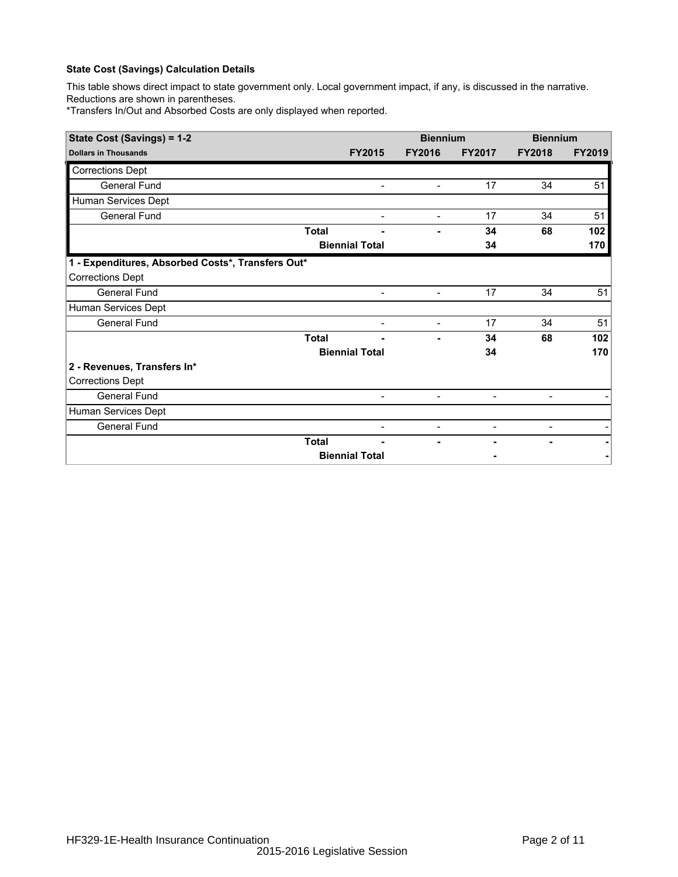This table shows direct impact to state government only. Local government impact, if any, is discussed in the narrative. Reductions are shown in parentheses.

\*Transfers In/Out and Absorbed Costs are only displayed when reported.

| State Cost (Savings) = 1-2                        |              | <b>Biennium</b>          |                          | <b>Biennium</b>          |                |               |
|---------------------------------------------------|--------------|--------------------------|--------------------------|--------------------------|----------------|---------------|
| <b>Dollars in Thousands</b>                       |              | <b>FY2015</b>            | <b>FY2016</b>            | <b>FY2017</b>            | <b>FY2018</b>  | <b>FY2019</b> |
| <b>Corrections Dept</b>                           |              |                          |                          |                          |                |               |
| <b>General Fund</b>                               |              | $\blacksquare$           | $\overline{\phantom{a}}$ | 17                       | 34             | 51            |
| Human Services Dept                               |              |                          |                          |                          |                |               |
| <b>General Fund</b>                               |              | $\overline{\phantom{0}}$ | $\overline{\phantom{0}}$ | 17                       | 34             | 51            |
|                                                   | <b>Total</b> |                          |                          | 34                       | 68             | 102           |
|                                                   |              | <b>Biennial Total</b>    |                          | 34                       |                | 170           |
| 1 - Expenditures, Absorbed Costs*, Transfers Out* |              |                          |                          |                          |                |               |
| <b>Corrections Dept</b>                           |              |                          |                          |                          |                |               |
| General Fund                                      |              | $\overline{\phantom{a}}$ | -                        | 17                       | 34             | 51            |
| Human Services Dept                               |              |                          |                          |                          |                |               |
| <b>General Fund</b>                               |              | $\overline{\phantom{0}}$ | $\overline{a}$           | 17                       | 34             | 51            |
|                                                   | <b>Total</b> |                          |                          | 34                       | 68             | 102           |
|                                                   |              | <b>Biennial Total</b>    |                          | 34                       |                | 170           |
| 2 - Revenues, Transfers In*                       |              |                          |                          |                          |                |               |
| <b>Corrections Dept</b>                           |              |                          |                          |                          |                |               |
| General Fund                                      |              | $\overline{\phantom{a}}$ | $\overline{\phantom{a}}$ | $\overline{\phantom{a}}$ |                |               |
| Human Services Dept                               |              |                          |                          |                          |                |               |
| <b>General Fund</b>                               |              |                          | -                        |                          | $\blacksquare$ |               |
|                                                   | <b>Total</b> |                          |                          |                          | $\blacksquare$ |               |
|                                                   |              | <b>Biennial Total</b>    |                          |                          |                |               |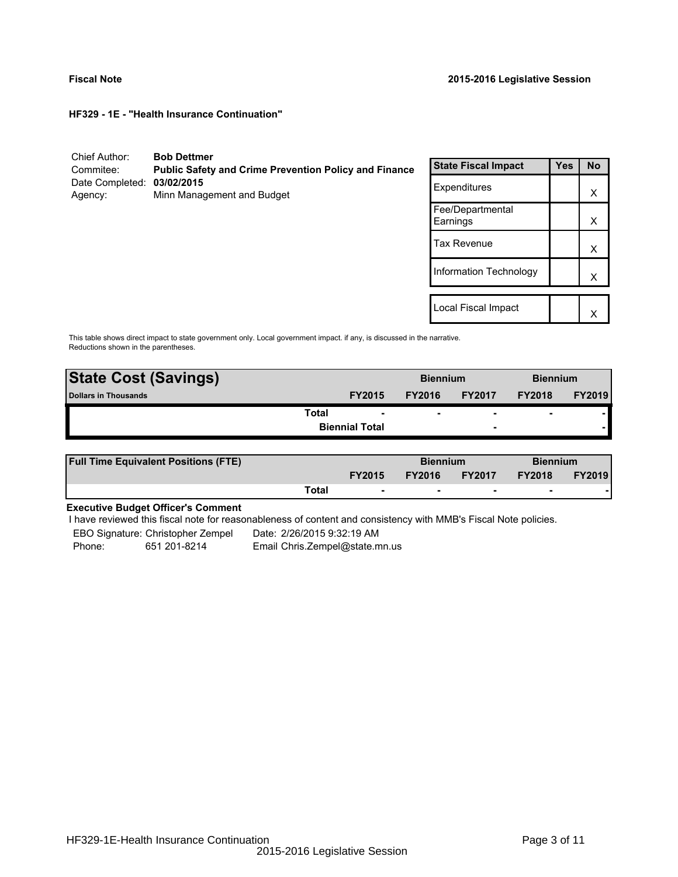**HF329 - 1E - "Health Insurance Continuation"**

| Chief Author:<br>Commitee:            | <b>Bob Dettmer</b><br><b>Public Safety and Crime Prevention Policy and Finance</b> | <b>State Fiscal Impact</b>   | <b>Yes</b> | <b>No</b> |
|---------------------------------------|------------------------------------------------------------------------------------|------------------------------|------------|-----------|
| Date Completed: 03/02/2015<br>Agency: | Minn Management and Budget                                                         | Expenditures                 |            | X         |
|                                       |                                                                                    | Fee/Departmental<br>Earnings |            | X         |
|                                       |                                                                                    | <b>Tax Revenue</b>           |            | X         |
|                                       |                                                                                    | Information Technology       |            | X         |
|                                       |                                                                                    | Local Fiscal Impact          |            | X         |

This table shows direct impact to state government only. Local government impact. if any, is discussed in the narrative. Reductions shown in the parentheses.

| <b>State Cost (Savings)</b> |               | <b>Biennium</b> |                          | <b>Biennium</b> |               |
|-----------------------------|---------------|-----------------|--------------------------|-----------------|---------------|
| <b>Dollars in Thousands</b> | <b>FY2015</b> | <b>FY2016</b>   | <b>FY2017</b>            | <b>FY2018</b>   | <b>FY2019</b> |
| Total                       | ۰             |                 | $\overline{\phantom{0}}$ | -               |               |
| <b>Biennial Total</b>       |               |                 | $\overline{\phantom{a}}$ |                 |               |
|                             |               |                 |                          |                 |               |

| <b>Full Time Equivalent Positions (FTE)</b> |       | <b>Biennium</b>          |               | <b>Biennium</b>          |                          |               |
|---------------------------------------------|-------|--------------------------|---------------|--------------------------|--------------------------|---------------|
|                                             |       | <b>FY2015</b>            | <b>FY2016</b> | <b>FY2017</b>            | <b>FY2018</b>            | <b>FY2019</b> |
|                                             | Total | $\overline{\phantom{0}}$ |               | $\overline{\phantom{0}}$ | $\overline{\phantom{0}}$ |               |

# **Executive Budget Officer's Comment**

I have reviewed this fiscal note for reasonableness of content and consistency with MMB's Fiscal Note policies.

EBO Signature: Christopher Zempel<br>
Phone: 651 201-8214 Email Chris.Zempel@state.n

Phone: 651 201-8214 Email Chris.Zempel@state.mn.us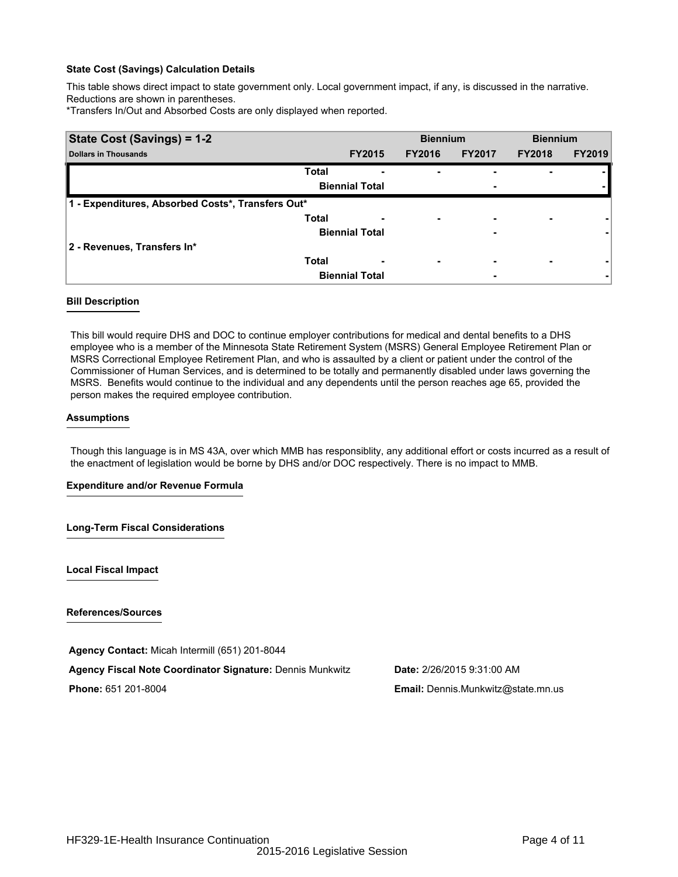This table shows direct impact to state government only. Local government impact, if any, is discussed in the narrative. Reductions are shown in parentheses.

\*Transfers In/Out and Absorbed Costs are only displayed when reported.

| State Cost (Savings) = 1-2                        |              |                       | <b>Biennium</b>          |                          | <b>Biennium</b> |               |
|---------------------------------------------------|--------------|-----------------------|--------------------------|--------------------------|-----------------|---------------|
| <b>Dollars in Thousands</b>                       |              | <b>FY2015</b>         | <b>FY2016</b>            | <b>FY2017</b>            | <b>FY2018</b>   | <b>FY2019</b> |
|                                                   | <b>Total</b> | -                     |                          | ۰                        |                 |               |
|                                                   |              | <b>Biennial Total</b> |                          | ٠                        |                 |               |
| 1 - Expenditures, Absorbed Costs*, Transfers Out* |              |                       |                          |                          |                 |               |
|                                                   | <b>Total</b> | -                     | ۰.                       | $\overline{\phantom{0}}$ |                 |               |
|                                                   |              | <b>Biennial Total</b> |                          | ۰                        |                 |               |
| 2 - Revenues, Transfers In*                       |              |                       |                          |                          |                 |               |
|                                                   | <b>Total</b> | ٠                     | $\overline{\phantom{a}}$ | ٠                        |                 |               |
|                                                   |              | <b>Biennial Total</b> |                          | ٠                        |                 |               |

#### **Bill Description**

This bill would require DHS and DOC to continue employer contributions for medical and dental benefits to a DHS employee who is a member of the Minnesota State Retirement System (MSRS) General Employee Retirement Plan or MSRS Correctional Employee Retirement Plan, and who is assaulted by a client or patient under the control of the Commissioner of Human Services, and is determined to be totally and permanently disabled under laws governing the MSRS. Benefits would continue to the individual and any dependents until the person reaches age 65, provided the person makes the required employee contribution.

#### **Assumptions**

Though this language is in MS 43A, over which MMB has responsiblity, any additional effort or costs incurred as a result of the enactment of legislation would be borne by DHS and/or DOC respectively. There is no impact to MMB.

## **Expenditure and/or Revenue Formula**

## **Long-Term Fiscal Considerations**

**Local Fiscal Impact**

**References/Sources**

**Agency Contact:** Micah Intermill (651) 201-8044

**Agency Fiscal Note Coordinator Signature:** Dennis Munkwitz **Date:** 2/26/2015 9:31:00 AM

**Phone:** 651 201-8004 **Email:** Dennis.Munkwitz@state.mn.us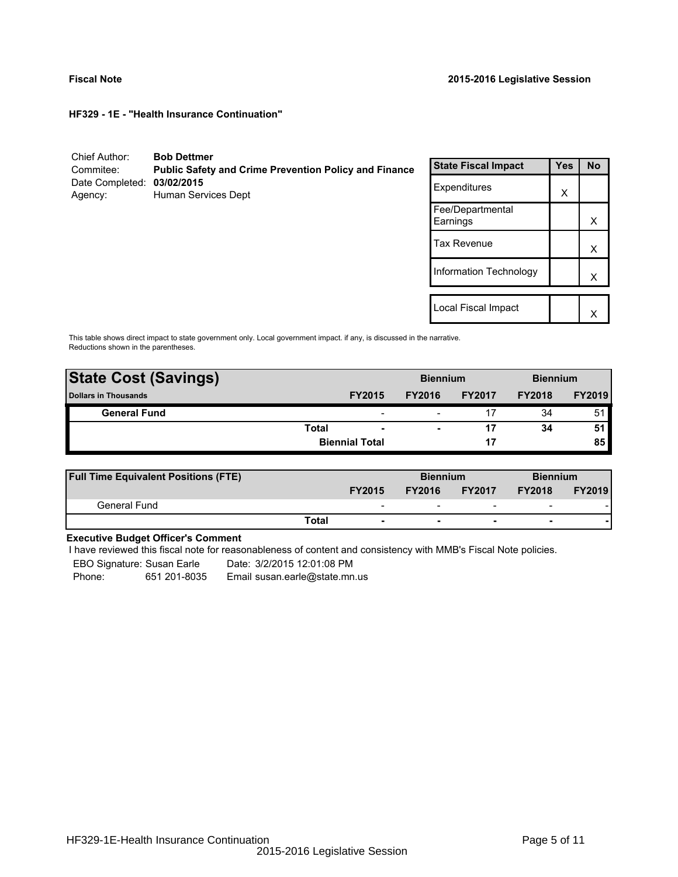**HF329 - 1E - "Health Insurance Continuation"**

| Chief Author:<br>Commitee: | <b>Bob Dettmer</b><br><b>Public Safety and Crime Prevention Policy and Finance</b> | <b>State Fiscal Impact</b>   | <b>Yes</b> | <b>No</b> |
|----------------------------|------------------------------------------------------------------------------------|------------------------------|------------|-----------|
| Date Completed:<br>Agency: | 03/02/2015<br>Human Services Dept                                                  | Expenditures                 | X          |           |
|                            |                                                                                    | Fee/Departmental<br>Earnings |            | X         |
|                            |                                                                                    | <b>Tax Revenue</b>           |            | X         |
|                            |                                                                                    | Information Technology       |            | X         |
|                            |                                                                                    |                              |            |           |
|                            |                                                                                    | Local Fiscal Impact          |            | x         |

This table shows direct impact to state government only. Local government impact. if any, is discussed in the narrative. Reductions shown in the parentheses.

| <b>State Cost (Savings)</b> |                       |                          | <b>Biennium</b> |               | <b>Biennium</b> |               |
|-----------------------------|-----------------------|--------------------------|-----------------|---------------|-----------------|---------------|
| <b>Dollars in Thousands</b> |                       | <b>FY2015</b>            | <b>FY2016</b>   | <b>FY2017</b> | <b>FY2018</b>   | <b>FY2019</b> |
| <b>General Fund</b>         |                       | $\overline{\phantom{0}}$ | -               |               | 34              | 51            |
|                             | <b>Total</b>          | $\overline{\phantom{a}}$ |                 |               | 34              | 51            |
|                             | <b>Biennial Total</b> |                          |                 | 17            |                 | 85            |
|                             |                       |                          |                 |               |                 |               |

| <b>Full Time Equivalent Positions (FTE)</b> |                                   |               | <b>Biennium</b>          |                          | <b>Biennium</b> |
|---------------------------------------------|-----------------------------------|---------------|--------------------------|--------------------------|-----------------|
|                                             | <b>FY2015</b>                     | <b>FY2016</b> | <b>FY2017</b>            | <b>FY2018</b>            | <b>FY2019</b>   |
| General Fund                                | -                                 | -             | $\overline{\phantom{0}}$ | $\overline{\phantom{0}}$ |                 |
|                                             | Total<br>$\overline{\phantom{a}}$ |               |                          | $\overline{\phantom{0}}$ |                 |

# **Executive Budget Officer's Comment**

I have reviewed this fiscal note for reasonableness of content and consistency with MMB's Fiscal Note policies.

EBO Signature: Susan Earle Date: 3/2/2015 12:01:08 PM

Phone: 651 201-8035 Email susan.earle@state.mn.us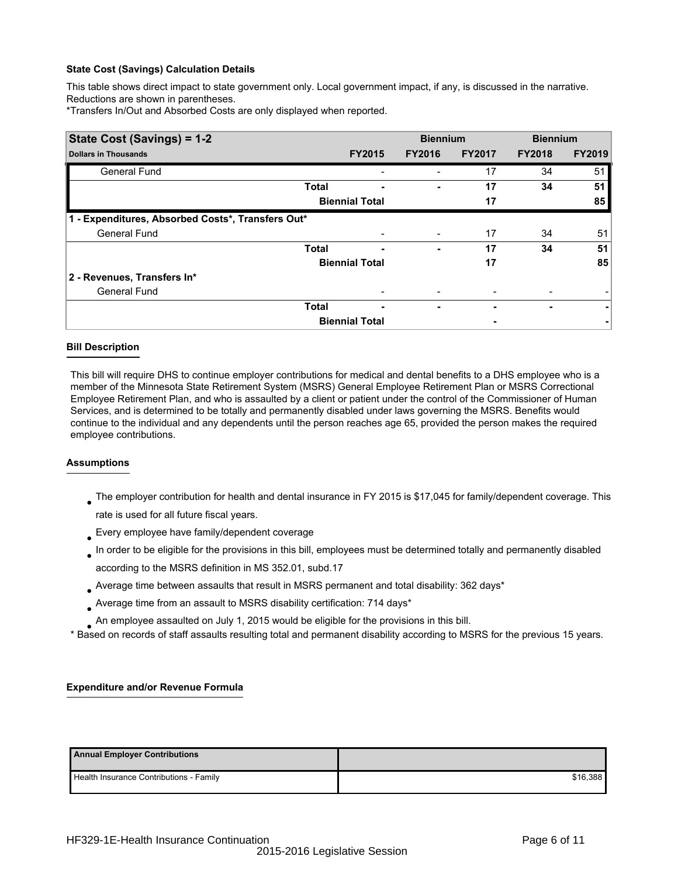This table shows direct impact to state government only. Local government impact, if any, is discussed in the narrative. Reductions are shown in parentheses.

\*Transfers In/Out and Absorbed Costs are only displayed when reported.

| State Cost (Savings) = 1-2                        |              |                       |               | <b>Biennium</b> | <b>Biennium</b> |               |  |
|---------------------------------------------------|--------------|-----------------------|---------------|-----------------|-----------------|---------------|--|
| <b>Dollars in Thousands</b>                       |              | <b>FY2015</b>         | <b>FY2016</b> | <b>FY2017</b>   | <b>FY2018</b>   | <b>FY2019</b> |  |
| <b>General Fund</b>                               |              |                       |               | 17              | 34              | 51            |  |
|                                                   | <b>Total</b> |                       |               | 17              | 34              | 51            |  |
|                                                   |              | <b>Biennial Total</b> |               | 17              |                 | 85            |  |
| 1 - Expenditures, Absorbed Costs*, Transfers Out* |              |                       |               |                 |                 |               |  |
| <b>General Fund</b>                               |              |                       |               | 17              | 34              | 51            |  |
|                                                   | <b>Total</b> | -                     | ۰             | 17              | 34              | 51            |  |
|                                                   |              | <b>Biennial Total</b> |               | 17              |                 | 85            |  |
| 2 - Revenues, Transfers In*                       |              |                       |               |                 |                 |               |  |
| <b>General Fund</b>                               |              |                       |               |                 |                 |               |  |
|                                                   | <b>Total</b> | ٠                     | ۰             |                 | ۰               | ۰             |  |
|                                                   |              | <b>Biennial Total</b> |               |                 |                 |               |  |

## **Bill Description**

This bill will require DHS to continue employer contributions for medical and dental benefits to a DHS employee who is a member of the Minnesota State Retirement System (MSRS) General Employee Retirement Plan or MSRS Correctional Employee Retirement Plan, and who is assaulted by a client or patient under the control of the Commissioner of Human Services, and is determined to be totally and permanently disabled under laws governing the MSRS. Benefits would continue to the individual and any dependents until the person reaches age 65, provided the person makes the required employee contributions.

## **Assumptions**

- $_{\bullet}$  The employer contribution for health and dental insurance in FY 2015 is \$17,045 for family/dependent coverage. This rate is used for all future fiscal years.
- $_{\bullet}$  Every employee have family/dependent coverage
- In order to be eligible for the provisions in this bill, employees must be determined totally and permanently disabled according to the MSRS definition in MS 352.01, subd.17 ●
- Average time between assaults that result in MSRS permanent and total disability: 362 days\* ●
- $_{\bullet}$  Average time from an assault to MSRS disability certification: 714 days\*
- An employee assaulted on July 1, 2015 would be eligible for the provisions in this bill. ●

\* Based on records of staff assaults resulting total and permanent disability according to MSRS for the previous 15 years.

## **Expenditure and/or Revenue Formula**

| <b>Annual Employer Contributions</b>    |          |
|-----------------------------------------|----------|
| Health Insurance Contributions - Family | \$16.388 |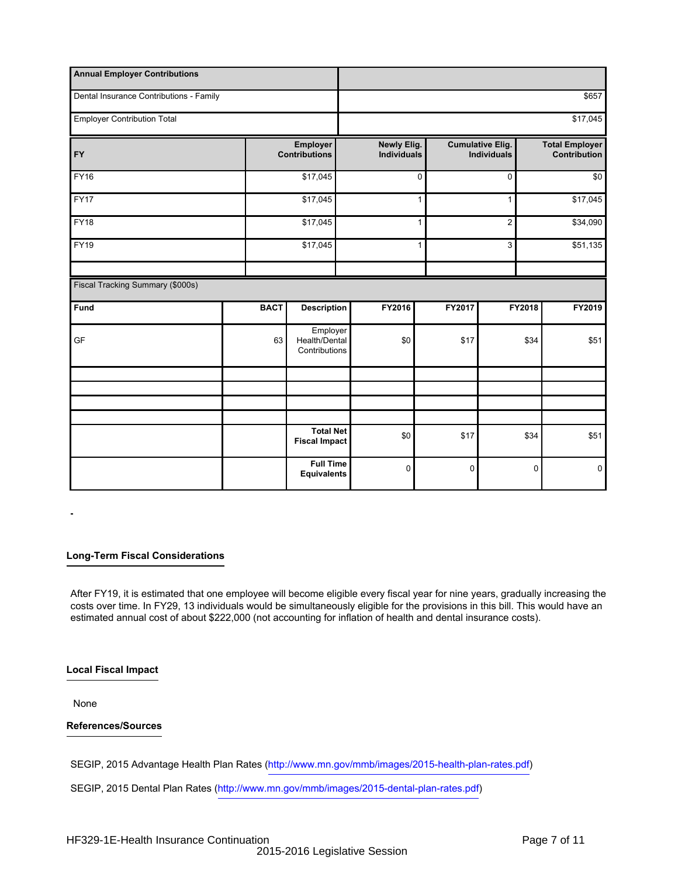| <b>Annual Employer Contributions</b>    |             |                                            |                                          |        |                                               |          |                                              |  |  |  |
|-----------------------------------------|-------------|--------------------------------------------|------------------------------------------|--------|-----------------------------------------------|----------|----------------------------------------------|--|--|--|
| Dental Insurance Contributions - Family |             |                                            |                                          |        | \$657                                         |          |                                              |  |  |  |
| <b>Employer Contribution Total</b>      |             |                                            |                                          |        | \$17,045                                      |          |                                              |  |  |  |
| <b>FY</b>                               |             | Employer<br><b>Contributions</b>           | <b>Newly Elig.</b><br><b>Individuals</b> |        | <b>Cumulative Elig.</b><br><b>Individuals</b> |          | <b>Total Employer</b><br><b>Contribution</b> |  |  |  |
| <b>FY16</b>                             |             | \$17,045                                   |                                          | 0      | 0                                             | \$0      |                                              |  |  |  |
| <b>FY17</b>                             |             | \$17,045                                   |                                          | 1      | $\mathbf{1}$                                  |          | \$17,045                                     |  |  |  |
| <b>FY18</b>                             |             | \$17,045                                   | 1                                        |        | $\overline{c}$                                |          | \$34,090                                     |  |  |  |
| FY19                                    |             | \$17,045                                   |                                          | 1      | 3                                             | \$51,135 |                                              |  |  |  |
|                                         |             |                                            |                                          |        |                                               |          |                                              |  |  |  |
| Fiscal Tracking Summary (\$000s)        |             |                                            |                                          |        |                                               |          |                                              |  |  |  |
| Fund                                    | <b>BACT</b> | <b>Description</b>                         | FY2016                                   | FY2017 |                                               | FY2018   | FY2019                                       |  |  |  |
| GF                                      | 63          | Employer<br>Health/Dental<br>Contributions | \$0                                      | \$17   |                                               | \$34     | \$51                                         |  |  |  |
|                                         |             |                                            |                                          |        |                                               |          |                                              |  |  |  |
|                                         |             |                                            |                                          |        |                                               |          |                                              |  |  |  |
|                                         |             |                                            |                                          |        |                                               |          |                                              |  |  |  |
|                                         |             | <b>Total Net</b><br><b>Fiscal Impact</b>   | \$0                                      | \$17   |                                               | \$34     | \$51                                         |  |  |  |
|                                         |             | <b>Full Time</b><br><b>Equivalents</b>     | $\mathbf 0$                              | 0      |                                               | 0        | $\mathbf 0$                                  |  |  |  |

## **Long-Term Fiscal Considerations**

After FY19, it is estimated that one employee will become eligible every fiscal year for nine years, gradually increasing the costs over time. In FY29, 13 individuals would be simultaneously eligible for the provisions in this bill. This would have an estimated annual cost of about \$222,000 (not accounting for inflation of health and dental insurance costs).

## **Local Fiscal Impact**

None

## **References/Sources**

SEGIP, 2015 Advantage Health Plan Rates (http://www.mn.gov/mmb/images/2015-health-plan-rates.pdf )

SEGIP, 2015 Dental Plan Rates (http://www.mn.gov/mmb/images/2015-dental-plan-rates.pdf )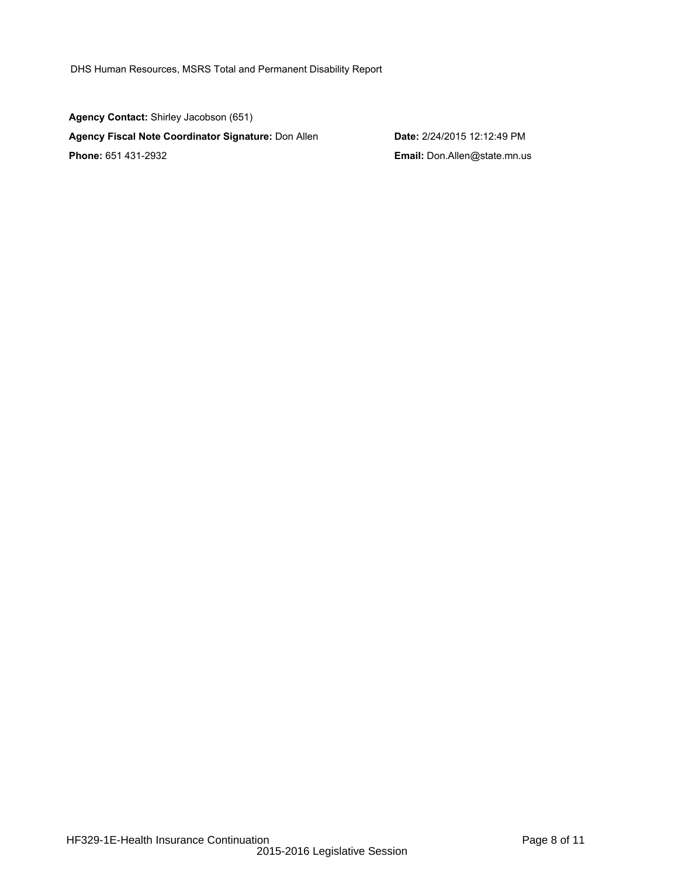DHS Human Resources, MSRS Total and Permanent Disability Report

**Agency Contact:** Shirley Jacobson (651) **Agency Fiscal Note Coordinator Signature:** Don Allen **Date:** 2/24/2015 12:12:49 PM **Phone:** 651 431-2932 **Email:** Don.Allen@state.mn.us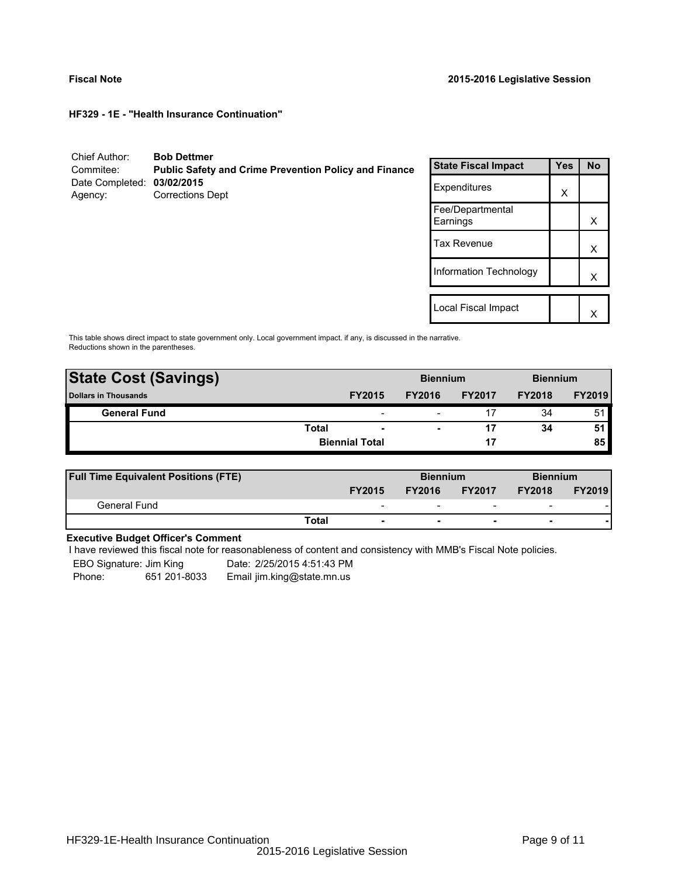**HF329 - 1E - "Health Insurance Continuation"**

| Chief Author:<br>Commitee:            | <b>Bob Dettmer</b><br><b>Public Safety and Crime Prevention Policy and Finance</b> | <b>State Fiscal Impact</b>   | <b>Yes</b> | <b>No</b> |
|---------------------------------------|------------------------------------------------------------------------------------|------------------------------|------------|-----------|
| Date Completed: 03/02/2015<br>Agency: | <b>Corrections Dept</b>                                                            | Expenditures                 | X          |           |
|                                       |                                                                                    | Fee/Departmental<br>Earnings |            | X         |
|                                       |                                                                                    | <b>Tax Revenue</b>           |            | Х         |
|                                       |                                                                                    | Information Technology       |            | Χ         |
|                                       |                                                                                    |                              |            |           |
|                                       |                                                                                    | Local Fiscal Impact          |            | ✓         |

This table shows direct impact to state government only. Local government impact. if any, is discussed in the narrative. Reductions shown in the parentheses.

| <b>State Cost (Savings)</b> |              |                       | <b>Biennium</b>          |               | <b>Biennium</b> |               |
|-----------------------------|--------------|-----------------------|--------------------------|---------------|-----------------|---------------|
| <b>Dollars in Thousands</b> |              | <b>FY2015</b>         | <b>FY2016</b>            | <b>FY2017</b> | <b>FY2018</b>   | <b>FY2019</b> |
| <b>General Fund</b>         |              | -                     | $\overline{\phantom{0}}$ |               | 34              | 51            |
|                             | <b>Total</b> | -                     | ۰                        |               | 34              | 51            |
|                             |              | <b>Biennial Total</b> |                          | 17            |                 | 85            |
|                             |              |                       |                          |               |                 |               |

| <b>Full Time Equivalent Positions (FTE)</b> |       |                          | <b>Biennium</b> |                          |                          | <b>Biennium</b> |  |
|---------------------------------------------|-------|--------------------------|-----------------|--------------------------|--------------------------|-----------------|--|
|                                             |       | <b>FY2015</b>            | <b>FY2016</b>   | <b>FY2017</b>            | <b>FY2018</b>            | <b>FY2019</b>   |  |
| General Fund                                |       | $\overline{\phantom{a}}$ |                 | $\overline{\phantom{0}}$ | $\overline{\phantom{0}}$ |                 |  |
|                                             | Total |                          |                 | $\overline{\phantom{0}}$ |                          |                 |  |

# **Executive Budget Officer's Comment**

I have reviewed this fiscal note for reasonableness of content and consistency with MMB's Fiscal Note policies.

EBO Signature: Jim King Date: 2/25/2015 4:51:43 PM

Phone: 651 201-8033 Email jim.king@state.mn.us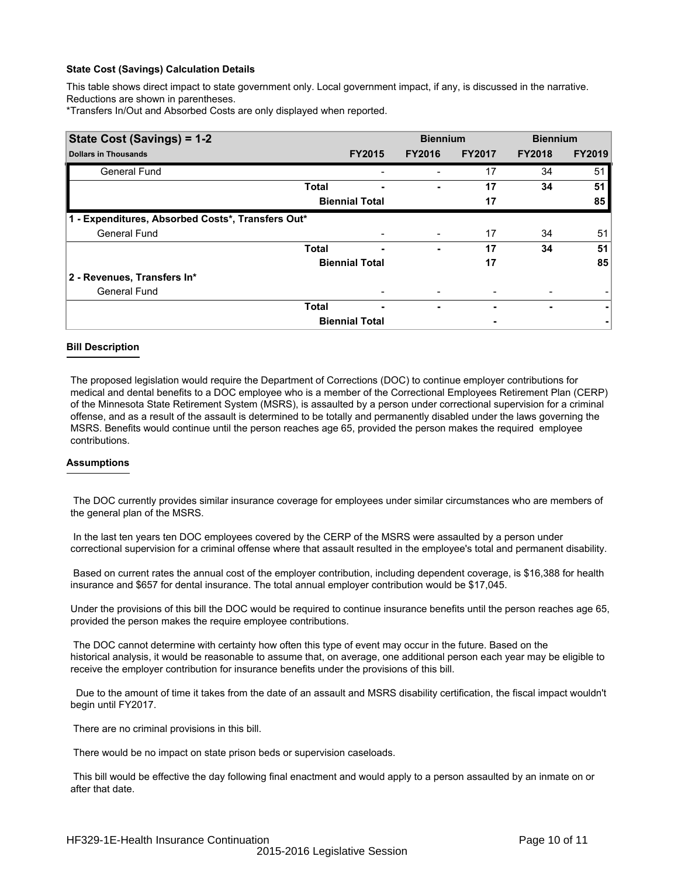This table shows direct impact to state government only. Local government impact, if any, is discussed in the narrative. Reductions are shown in parentheses.

\*Transfers In/Out and Absorbed Costs are only displayed when reported.

| State Cost (Savings) = 1-2                        |              |                       |               | <b>Biennium</b> | <b>Biennium</b> |               |  |
|---------------------------------------------------|--------------|-----------------------|---------------|-----------------|-----------------|---------------|--|
| <b>Dollars in Thousands</b>                       |              | <b>FY2015</b>         | <b>FY2016</b> | <b>FY2017</b>   | <b>FY2018</b>   | <b>FY2019</b> |  |
| <b>General Fund</b>                               |              |                       |               | 17              | 34              | 51            |  |
|                                                   | <b>Total</b> |                       |               | 17              | 34              | 51            |  |
|                                                   |              | <b>Biennial Total</b> |               | 17              |                 | 85            |  |
| 1 - Expenditures, Absorbed Costs*, Transfers Out* |              |                       |               |                 |                 |               |  |
| <b>General Fund</b>                               |              |                       |               | 17              | 34              | 51            |  |
|                                                   | <b>Total</b> | -                     | ۰             | 17              | 34              | 51            |  |
|                                                   |              | <b>Biennial Total</b> |               | 17              |                 | 85            |  |
| 2 - Revenues, Transfers In*                       |              |                       |               |                 |                 |               |  |
| <b>General Fund</b>                               |              |                       |               |                 |                 |               |  |
|                                                   | <b>Total</b> | ٠                     | ۰             |                 | ۰               | ۰             |  |
|                                                   |              | <b>Biennial Total</b> |               |                 |                 |               |  |

## **Bill Description**

The proposed legislation would require the Department of Corrections (DOC) to continue employer contributions for medical and dental benefits to a DOC employee who is a member of the Correctional Employees Retirement Plan (CERP) of the Minnesota State Retirement System (MSRS), is assaulted by a person under correctional supervision for a criminal offense, and as a result of the assault is determined to be totally and permanently disabled under the laws governing the MSRS. Benefits would continue until the person reaches age 65, provided the person makes the required employee contributions.

## **Assumptions**

 The DOC currently provides similar insurance coverage for employees under similar circumstances who are members of the general plan of the MSRS.

 In the last ten years ten DOC employees covered by the CERP of the MSRS were assaulted by a person under correctional supervision for a criminal offense where that assault resulted in the employee's total and permanent disability.

 Based on current rates the annual cost of the employer contribution, including dependent coverage, is \$16,388 for health insurance and \$657 for dental insurance. The total annual employer contribution would be \$17,045.

Under the provisions of this bill the DOC would be required to continue insurance benefits until the person reaches age 65, provided the person makes the require employee contributions.

 The DOC cannot determine with certainty how often this type of event may occur in the future. Based on the historical analysis, it would be reasonable to assume that, on average, one additional person each year may be eligible to receive the employer contribution for insurance benefits under the provisions of this bill.

 Due to the amount of time it takes from the date of an assault and MSRS disability certification, the fiscal impact wouldn't begin until FY2017.

There are no criminal provisions in this bill.

There would be no impact on state prison beds or supervision caseloads.

 This bill would be effective the day following final enactment and would apply to a person assaulted by an inmate on or after that date.